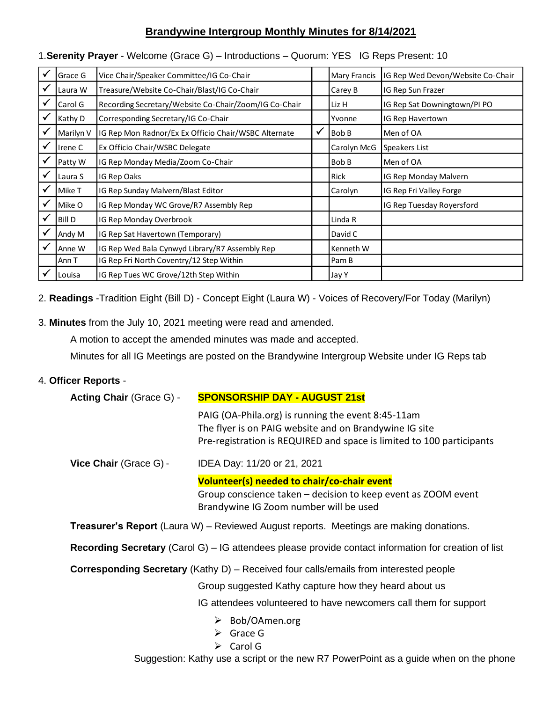# **Brandywine Intergroup Monthly Minutes for 8/14/2021**

|              | Grace G       | Vice Chair/Speaker Committee/IG Co-Chair              |   | <b>Mary Francis</b> | IG Rep Wed Devon/Website Co-Chair |
|--------------|---------------|-------------------------------------------------------|---|---------------------|-----------------------------------|
| $\checkmark$ | Laura W       | Treasure/Website Co-Chair/Blast/IG Co-Chair           |   | Carey B             | IG Rep Sun Frazer                 |
| $\checkmark$ | Carol G       | Recording Secretary/Website Co-Chair/Zoom/IG Co-Chair |   | Liz H               | IG Rep Sat Downingtown/PI PO      |
| $\checkmark$ | Kathy D       | Corresponding Secretary/IG Co-Chair                   |   | Yvonne              | IG Rep Havertown                  |
| ✓            | Marilyn V     | IG Rep Mon Radnor/Ex Ex Officio Chair/WSBC Alternate  | ✔ | Bob B               | Men of OA                         |
| $\checkmark$ | Irene C       | Ex Officio Chair/WSBC Delegate                        |   | Carolyn McG         | Speakers List                     |
| $\checkmark$ | Patty W       | IG Rep Monday Media/Zoom Co-Chair                     |   | Bob B               | Men of OA                         |
| $\checkmark$ | Laura S       | IG Rep Oaks                                           |   | Rick                | IG Rep Monday Malvern             |
| $\checkmark$ | Mike T        | IG Rep Sunday Malvern/Blast Editor                    |   | Carolyn             | IG Rep Fri Valley Forge           |
| $\checkmark$ | Mike O        | IG Rep Monday WC Grove/R7 Assembly Rep                |   |                     | IG Rep Tuesday Royersford         |
| $\checkmark$ | <b>Bill D</b> | IG Rep Monday Overbrook                               |   | Linda R             |                                   |
| ✓            | Andy M        | IG Rep Sat Havertown (Temporary)                      |   | David C             |                                   |
|              | Anne W        | IG Rep Wed Bala Cynwyd Library/R7 Assembly Rep        |   | Kenneth W           |                                   |
|              | Ann T         | IG Rep Fri North Coventry/12 Step Within              |   | Pam B               |                                   |
|              | Louisa        | IG Rep Tues WC Grove/12th Step Within                 |   | Jay Y               |                                   |

## 1.**Serenity Prayer** - Welcome (Grace G) – Introductions – Quorum: YES IG Reps Present: 10

2. **Readings** -Tradition Eight (Bill D) - Concept Eight (Laura W) - Voices of Recovery/For Today (Marilyn)

3. **Minutes** from the July 10, 2021 meeting were read and amended.

A motion to accept the amended minutes was made and accepted.

Minutes for all IG Meetings are posted on the Brandywine Intergroup Website under IG Reps tab

# 4. **Officer Reports** -

| Acting Chair (Grace G) -                                                                                      | <b>SPONSORSHIP DAY - AUGUST 21st</b>                                                                                                                                                  |  |  |  |  |
|---------------------------------------------------------------------------------------------------------------|---------------------------------------------------------------------------------------------------------------------------------------------------------------------------------------|--|--|--|--|
|                                                                                                               | PAIG (OA-Phila.org) is running the event 8:45-11am<br>The flyer is on PAIG website and on Brandywine IG site<br>Pre-registration is REQUIRED and space is limited to 100 participants |  |  |  |  |
| Vice Chair (Grace G) -                                                                                        | IDEA Day: 11/20 or 21, 2021                                                                                                                                                           |  |  |  |  |
|                                                                                                               | Volunteer(s) needed to chair/co-chair event                                                                                                                                           |  |  |  |  |
|                                                                                                               | Group conscience taken – decision to keep event as ZOOM event                                                                                                                         |  |  |  |  |
|                                                                                                               | Brandywine IG Zoom number will be used                                                                                                                                                |  |  |  |  |
| <b>Treasurer's Report</b> (Laura W) – Reviewed August reports. Meetings are making donations.                 |                                                                                                                                                                                       |  |  |  |  |
| <b>Recording Secretary</b> (Carol G) $-$ IG attendees please provide contact information for creation of list |                                                                                                                                                                                       |  |  |  |  |
| <b>Corresponding Secretary</b> (Kathy D) – Received four calls/emails from interested people                  |                                                                                                                                                                                       |  |  |  |  |
|                                                                                                               | Group suggested Kathy capture how they heard about us                                                                                                                                 |  |  |  |  |
|                                                                                                               | IG attendees volunteered to have newcomers call them for support                                                                                                                      |  |  |  |  |
|                                                                                                               | $\triangleright$ Bob/OAmen.org<br>Grace G<br>$\triangleright$ Carol G                                                                                                                 |  |  |  |  |

Suggestion: Kathy use a script or the new R7 PowerPoint as a guide when on the phone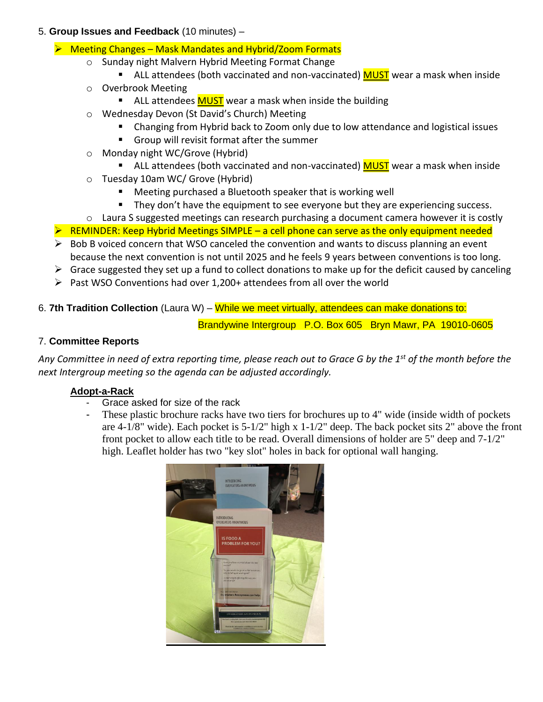## 5. **Group Issues and Feedback** (10 minutes) –

- ➢ Meeting Changes Mask Mandates and Hybrid/Zoom Formats
	- o Sunday night Malvern Hybrid Meeting Format Change
		- ALL attendees (both vaccinated and non-vaccinated) MUST wear a mask when inside
	- o Overbrook Meeting
		- ALL attendees **MUST** wear a mask when inside the building
	- o Wednesday Devon (St David's Church) Meeting
		- Changing from Hybrid back to Zoom only due to low attendance and logistical issues
		- Group will revisit format after the summer
	- o Monday night WC/Grove (Hybrid)
		- ALL attendees (both vaccinated and non-vaccinated) MUST wear a mask when inside
	- o Tuesday 10am WC/ Grove (Hybrid)
		- Meeting purchased a Bluetooth speaker that is working well
		- They don't have the equipment to see everyone but they are experiencing success.
	- o Laura S suggested meetings can research purchasing a document camera however it is costly
- $\triangleright$  REMINDER: Keep Hybrid Meetings SIMPLE a cell phone can serve as the only equipment needed
- $\triangleright$  Bob B voiced concern that WSO canceled the convention and wants to discuss planning an event because the next convention is not until 2025 and he feels 9 years between conventions is too long.
- $\triangleright$  Grace suggested they set up a fund to collect donations to make up for the deficit caused by canceling
- ➢ Past WSO Conventions had over 1,200+ attendees from all over the world
- 6. **7th Tradition Collection** (Laura W) While we meet virtually, attendees can make donations to:

Brandywine Intergroup P.O. Box 605 Bryn Mawr, PA 19010-0605

# 7. **Committee Reports**

*Any Committee in need of extra reporting time, please reach out to Grace G by the 1st of the month before the next Intergroup meeting so the agenda can be adjusted accordingly.*

# **Adopt-a-Rack**

- Grace asked for size of the rack
- These plastic brochure racks have two tiers for brochures up to 4" wide (inside width of pockets are 4-1/8" wide). Each pocket is 5-1/2" high x 1-1/2" deep. The back pocket sits 2" above the front front pocket to allow each title to be read. Overall dimensions of holder are 5" deep and 7-1/2" high. Leaflet holder has two "key slot" holes in back for optional wall hanging.

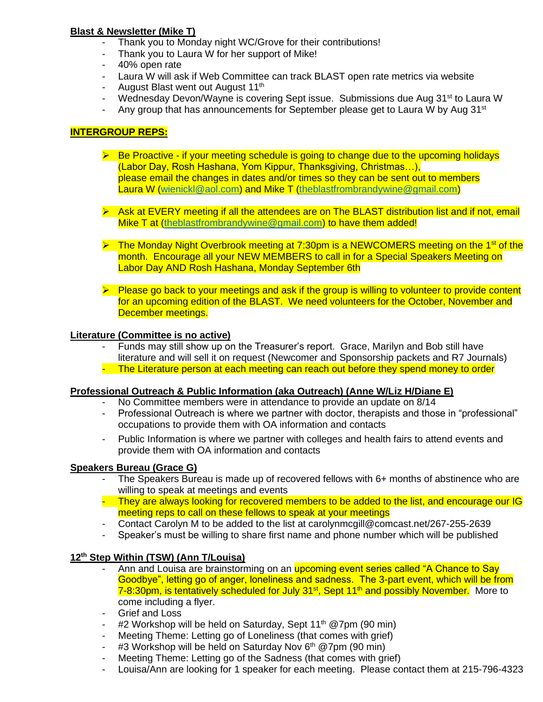## **Blast & Newsletter (Mike T)**

- Thank you to Monday night WC/Grove for their contributions!
- Thank you to Laura W for her support of Mike!
- 40% open rate
- Laura W will ask if Web Committee can track BLAST open rate metrics via website
- August Blast went out August 11<sup>th</sup>
- Wednesday Devon/Wayne is covering Sept issue. Submissions due Aug 31<sup>st</sup> to Laura W
- Any group that has announcements for September please get to Laura W by Aug  $31<sup>st</sup>$

## **INTERGROUP REPS:**

- ➢ Be Proactive if your meeting schedule is going to change due to the upcoming holidays (Labor Day, Rosh Hashana, Yom Kippur, Thanksgiving, Christmas…), please email the changes in dates and/or times so they can be sent out to members Laura W [\(wienickl@aol.com\)](mailto:wienickl@aol.com) and Mike T [\(theblastfrombrandywine@gmail.com\)](mailto:theblastfrombrandywine@gmail.com)
- ➢ Ask at EVERY meeting if all the attendees are on The BLAST distribution list and if not, email Mike T at [\(theblastfrombrandywine@gmail.com\)](mailto:theblastfrombrandywine@gmail.com) to have them added!
- $\triangleright$  The Monday Night Overbrook meeting at 7:30pm is a NEWCOMERS meeting on the 1<sup>st</sup> of the month. Encourage all your NEW MEMBERS to call in for a Special Speakers Meeting on Labor Day AND Rosh Hashana, Monday September 6th
- ➢ Please go back to your meetings and ask if the group is willing to volunteer to provide content for an upcoming edition of the BLAST. We need volunteers for the October, November and December meetings.

#### **Literature (Committee is no active)**

- Funds may still show up on the Treasurer's report. Grace, Marilyn and Bob still have literature and will sell it on request (Newcomer and Sponsorship packets and R7 Journals)
- The Literature person at each meeting can reach out before they spend money to order

### **Professional Outreach & Public Information (aka Outreach) (Anne W/Liz H/Diane E)**

- No Committee members were in attendance to provide an update on 8/14
- Professional Outreach is where we partner with doctor, therapists and those in "professional" occupations to provide them with OA information and contacts
- Public Information is where we partner with colleges and health fairs to attend events and provide them with OA information and contacts

### **Speakers Bureau (Grace G)**

- The Speakers Bureau is made up of recovered fellows with 6+ months of abstinence who are willing to speak at meetings and events
- They are always looking for recovered members to be added to the list, and encourage our IG meeting reps to call on these fellows to speak at your meetings
- Contact Carolyn M to be added to the list at carolynmcgill@comcast.net/267-255-2639
- Speaker's must be willing to share first name and phone number which will be published

### **12th Step Within (TSW) (Ann T/Louisa)**

- Ann and Louisa are brainstorming on an **upcoming event series called "A Chance to Say** Goodbye", letting go of anger, loneliness and sadness. The 3-part event, which will be from 7-8:30pm, is tentatively scheduled for July 31<sup>st</sup>, Sept 11<sup>th</sup> and possibly November. More to come including a flyer.
- Grief and Loss
- #2 Workshop will be held on Saturday, Sept 11<sup>th</sup> @7pm (90 min)
- Meeting Theme: Letting go of Loneliness (that comes with grief)
- #3 Workshop will be held on Saturday Nov 6<sup>th</sup> @7pm (90 min)
- Meeting Theme: Letting go of the Sadness (that comes with grief)
- Louisa/Ann are looking for 1 speaker for each meeting. Please contact them at 215-796-4323